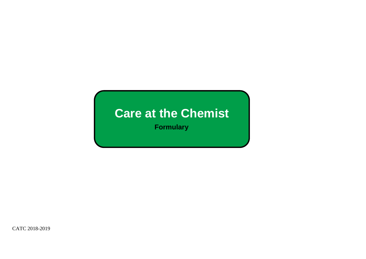## **Care at the Chemist**

**Formulary**

CATC 2018-2019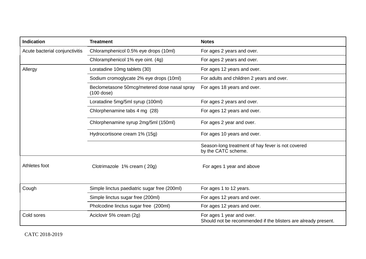| <b>Indication</b>              | <b>Treatment</b>                                           | <b>Notes</b>                                                                                |
|--------------------------------|------------------------------------------------------------|---------------------------------------------------------------------------------------------|
| Acute bacterial conjunctivitis | Chloramphenicol 0.5% eye drops (10ml)                      | For ages 2 years and over.                                                                  |
|                                | Chloramphenicol 1% eye oint. (4g)                          | For ages 2 years and over.                                                                  |
| Allergy                        | Loratadine 10mg tablets (30)                               | For ages 12 years and over.                                                                 |
|                                | Sodium cromoglycate 2% eye drops (10ml)                    | For adults and children 2 years and over.                                                   |
|                                | Beclometasone 50mcg/metered dose nasal spray<br>(100 dose) | For ages 18 years and over.                                                                 |
|                                | Loratadine 5mg/5ml syrup (100ml)                           | For ages 2 years and over.                                                                  |
|                                | Chlorphenamine tabs 4 mg (28)                              | For ages 12 years and over.                                                                 |
|                                | Chlorphenamine syrup 2mg/5ml (150ml)                       | For ages 2 year and over.                                                                   |
|                                | Hydrocortisone cream 1% (15g)                              | For ages 10 years and over.                                                                 |
|                                |                                                            | Season-long treatment of hay fever is not covered<br>by the CATC scheme.                    |
| Athletes foot                  | Clotrimazole 1% cream (20g)                                | For ages 1 year and above                                                                   |
| Cough                          | Simple linctus paediatric sugar free (200ml)               | For ages 1 to 12 years.                                                                     |
|                                | Simple linctus sugar free (200ml)                          | For ages 12 years and over.                                                                 |
|                                | Pholcodine linctus sugar free (200ml)                      | For ages 12 years and over.                                                                 |
| Cold sores                     | Aciclovir 5% cream (2g)                                    | For ages 1 year and over.<br>Should not be recommended if the blisters are already present. |

CATC 2018-2019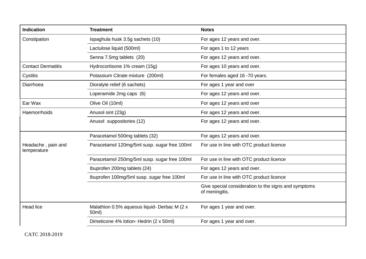| <b>Indication</b>                 | <b>Treatment</b>                                      | <b>Notes</b>                                                           |
|-----------------------------------|-------------------------------------------------------|------------------------------------------------------------------------|
| Constipation                      | Ispaghula husk 3.5g sachets (10)                      | For ages 12 years and over.                                            |
|                                   | Lactulose liquid (500ml)                              | For ages 1 to 12 years                                                 |
|                                   | Senna 7.5mg tablets (20)                              | For ages 12 years and over.                                            |
| <b>Contact Dermatitis</b>         | Hydrocortisone 1% cream (15g)                         | For ages 10 years and over.                                            |
| Cystitis                          | Potassium Citrate mixture (200ml)                     | For females aged 16 -70 years.                                         |
| Diarrhoea                         | Dioralyte relief (6 sachets)                          | For ages 1 year and over                                               |
|                                   | Loperamide 2mg caps (6)                               | For ages 12 years and over.                                            |
| Ear Wax                           | Olive Oil (10ml)                                      | For ages 12 years and over                                             |
| <b>Haemorrhoids</b>               | Anusol oint (23g)                                     | For ages 12 years and over.                                            |
|                                   | Anusol suppositories (12)                             | For ages 12 years and over.                                            |
|                                   | Paracetamol 500mg tablets (32)                        | For ages 12 years and over.                                            |
| Headache, pain and<br>temperature | Paracetamol 120mg/5ml susp. sugar free 100ml          | For use in line with OTC product licence                               |
|                                   | Paracetamol 250mg/5ml susp. sugar free 100ml          | For use in line with OTC product licence                               |
|                                   | Ibuprofen 200mg tablets (24)                          | For ages 12 years and over.                                            |
|                                   | Ibuprofen 100mg/5ml susp. sugar free 100ml            | For use in line with OTC product licence                               |
|                                   |                                                       | Give special consideration to the signs and symptoms<br>of meningitis. |
| <b>Head lice</b>                  | Malathion 0.5% aqueous liquid- Derbac M (2 x<br>50ml) | For ages 1 year and over.                                              |
|                                   | Dimeticone 4% lotion- Hedrin (2 x 50ml)               | For ages 1 year and over.                                              |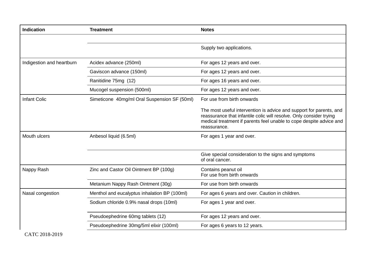| Indication                | <b>Treatment</b>                             | <b>Notes</b>                                                                                                                                                                                                                      |
|---------------------------|----------------------------------------------|-----------------------------------------------------------------------------------------------------------------------------------------------------------------------------------------------------------------------------------|
|                           |                                              |                                                                                                                                                                                                                                   |
|                           |                                              | Supply two applications.                                                                                                                                                                                                          |
| Indigestion and heartburn | Acidex advance (250ml)                       | For ages 12 years and over.                                                                                                                                                                                                       |
|                           | Gaviscon advance (150ml)                     | For ages 12 years and over.                                                                                                                                                                                                       |
|                           | Ranitidine 75mg (12)                         | For ages 16 years and over.                                                                                                                                                                                                       |
|                           | Mucogel suspension (500ml)                   | For ages 12 years and over.                                                                                                                                                                                                       |
| <b>Infant Colic</b>       | Simeticone 40mg/ml Oral Suspension SF (50ml) | For use from birth onwards                                                                                                                                                                                                        |
|                           |                                              | The most useful intervention is advice and support for parents, and<br>reassurance that infantile colic will resolve. Only consider trying<br>medical treatment if parents feel unable to cope despite advice and<br>reassurance. |
| Mouth ulcers              | Anbesol liquid (6.5ml)                       | For ages 1 year and over.                                                                                                                                                                                                         |
|                           |                                              | Give special consideration to the signs and symptoms<br>of oral cancer.                                                                                                                                                           |
| Nappy Rash                | Zinc and Castor Oil Ointment BP (100g)       | Contains peanut oil<br>For use from birth onwards                                                                                                                                                                                 |
|                           | Metanium Nappy Rash Ointment (30g)           | For use from birth onwards                                                                                                                                                                                                        |
| Nasal congestion          | Menthol and eucalyptus inhalation BP (100ml) | For ages 6 years and over. Caution in children.                                                                                                                                                                                   |
|                           | Sodium chloride 0.9% nasal drops (10ml)      | For ages 1 year and over.                                                                                                                                                                                                         |
|                           | Pseudoephedrine 60mg tablets (12)            | For ages 12 years and over.                                                                                                                                                                                                       |
|                           | Pseudoephedrine 30mg/5ml elixir (100ml)      | For ages 6 years to 12 years.                                                                                                                                                                                                     |

CATC 2018-2019